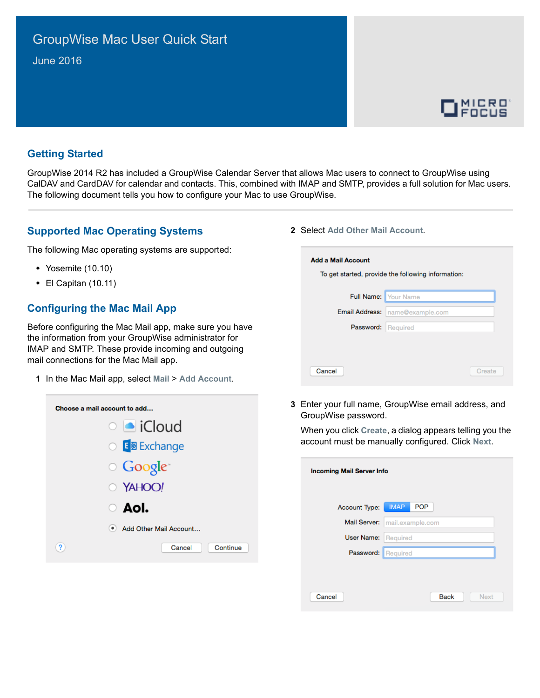# GroupWise Mac User Quick Start June 2016



#### **Getting Started**

GroupWise 2014 R2 has included a GroupWise Calendar Server that allows Mac users to connect to GroupWise using CalDAV and CardDAV for calendar and contacts. This, combined with IMAP and SMTP, provides a full solution for Mac users. The following document tells you how to configure your Mac to use GroupWise.

#### **Supported Mac Operating Systems**

The following Mac operating systems are supported:

- Yosemite (10.10)
- El Capitan (10.11)

#### **Configuring the Mac Mail App**

Before configuring the Mac Mail app, make sure you have the information from your GroupWise administrator for IMAP and SMTP. These provide incoming and outgoing mail connections for the Mac Mail app.

**1** In the Mac Mail app, select **Mail** > **Add Account**.

| Choose a mail account to add |
|------------------------------|
| $\circ$ • iCloud             |
| ○ E 图 Exchange               |
| ○ Google*                    |
| O YAHOO!                     |
| $\circ$ AoI.                 |
| Add Other Mail Account       |
| ?<br>Continue<br>Cancel      |
|                              |

**2** Select **Add Other Mail Account**.

| Full Name: Your Name<br><b>Email Address:</b> | name@example.com |
|-----------------------------------------------|------------------|
|                                               |                  |
|                                               |                  |
| Password:                                     | Required         |
|                                               |                  |
|                                               |                  |

**3** Enter your full name, GroupWise email address, and GroupWise password.

When you click **Create**, a dialog appears telling you the account must be manually configured. Click **Next**.

| <b>Incoming Mail Server Info</b> |                           |
|----------------------------------|---------------------------|
| Account Type:                    | <b>POP</b><br><b>IMAP</b> |
| Mail Server:                     | mail.example.com          |
| User Name:                       | Required                  |
| Password: Required               |                           |
|                                  |                           |
| Cancel                           | <b>Back</b><br>Next       |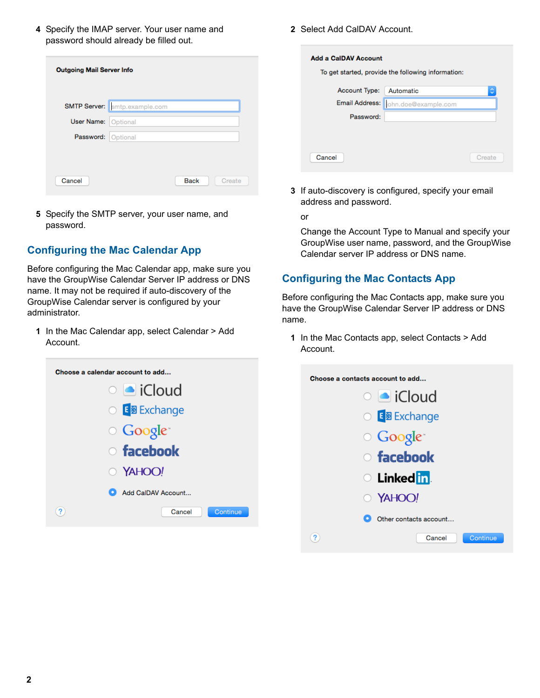**4** Specify the IMAP server. Your user name and password should already be filled out.

| <b>Outgoing Mail Server Info</b> |                                      |             |        |
|----------------------------------|--------------------------------------|-------------|--------|
|                                  | <b>SMTP Server:</b> smtp.example.com |             |        |
| <b>User Name: Optional</b>       |                                      |             |        |
| Password: Optional               |                                      |             |        |
|                                  |                                      |             |        |
| Cancel                           |                                      | <b>Back</b> | Create |

**5** Specify the SMTP server, your user name, and password.

### **Configuring the Mac Calendar App**

Before configuring the Mac Calendar app, make sure you have the GroupWise Calendar Server IP address or DNS name. It may not be required if auto-discovery of the GroupWise Calendar server is configured by your administrator.

**1** In the Mac Calendar app, select Calendar > Add Account.



**2** Select Add CalDAV Account.

| <b>Add a CalDAV Account</b> | To get started, provide the following information: |        |
|-----------------------------|----------------------------------------------------|--------|
| <b>Account Type:</b>        | Automatic                                          | ٥      |
|                             | Email Address:   ohn.doe@example.com               |        |
| Password:                   |                                                    |        |
|                             |                                                    |        |
|                             |                                                    |        |
| Cancel                      |                                                    | Create |

**3** If auto-discovery is configured, specify your email address and password.

or

Change the Account Type to Manual and specify your GroupWise user name, password, and the GroupWise Calendar server IP address or DNS name.

## **Configuring the Mac Contacts App**

Before configuring the Mac Contacts app, make sure you have the GroupWise Calendar Server IP address or DNS name.

**1** In the Mac Contacts app, select Contacts > Add Account.